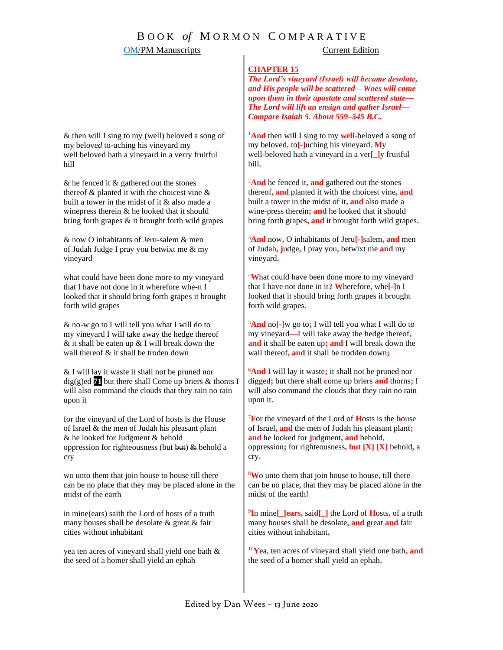# B O O K *of* M O R M O N C O M P A R A T I V E

### **OM/PM Manuscripts** Current Edition

### **CHAPTER 15**

*The Lord's vineyard (Israel) will become desolate, and His people will be scattered—Woes will come upon them in their apostate and scattered state— The Lord will lift an ensign and gather Israel— Compare Isaiah 5. About 559–545 B.C.*

<sup>1</sup>**And** then will I sing to my **well-**beloved a song of my beloved**,** to**[-]**uching his vineyard**. M**y well**-**beloved hath a vineyard in a ver**[\_]**y fruitful hill**.**

<sup>2</sup>And he fenced it, and gathered out the stones thereof**, and** planted it with the choicest vine**, and** built a tower in the midst of it**, and** also made a wine**-**press therein**; and** he looked that it should bring forth grapes**, and** it brought forth wild grapes**.**

<sup>3</sup>**And** now**,** O inhabitants of Jeru**[-]**salem**, and** men of Judah**, j**udge**,** I pray you**,** betwixt me **and** my vineyard**.**

<sup>4</sup>**W**hat could have been done more to my vineyard that I have not done in it**? W**herefore**,** whe**[-]**n I looked that it should bring forth grapes it brought forth wild grapes**.**

<sup>5</sup>**And** no**[-]**w go to**;** I will tell you what I will do to my vineyard**—**I will take away the hedge thereof**, and** it shall be eaten up**; and** I will break down the wall thereof**, and** it shall be trod**d**en down**;**

<sup>6</sup>**And** I will lay it waste**;** it shall not be pruned nor dig**g**ed**;** but there shall **c**ome up briers **and** thorns**;** I will also command the clouds that they rain no rain upon it**.**

<sup>7</sup>**F**or the vineyard of the Lord of **H**osts is the **h**ouse of Israel**, and** the men of Judah his pleasant plant**; and** he looked for **j**udgment**, and** behold**,** oppression**;** for righteousness**, but [X] [X]** behold**,** a cry**.**

<sup>8</sup>**W**o unto them that join house to house**,** till there can be no place**,** that they may be placed alone in the midst of the earth**!**

9 **I**n mine**[\_]ears,** sai**d[\_]** the Lord of **H**osts**,** of a truth many houses shall be desolate**, and** great **and** fair cities without inhabitant**.**

<sup>10</sup>**Y**ea**,** ten acres of vineyard shall yield one bath**, and** the seed of a homer shall yield an ephah**.** 

& then will I sing to my (well) beloved a song of my belove*d* to-uching his vineyard my well beloved hath a vineyard in a verry fruitful hill

& he fenced it & gathered out the stones thereof  $\&$  planted it with the choicest vine  $\&$ built a tower in the midst of it & also made a winepress therein & he looked that it should bring forth grapes & it brought forth wild grapes

& now O inhabitants of Jeru-salem & men of Judah Judge I pray you betwixt me & my vineyard

what could have been done more to my vineyard that I have not done in it wherefore whe-n I looked that it should bring forth grapes it brought forth wild grapes

& no-w go to I will tell you what I will do to my vineyard I will take away the hedge thereof  $&$  it shall be eaten up  $&$  I will break down the wall thereof & it shall be troden down

& I will lay it waste it shall not be pruned nor dig(g)ed **71** but there shall Come up briers & thor*n*s I will also command the clouds that they rain no rain upon it

for the vineyard of the Lord of hosts is the House of Israel & the men of Judah his pleasant plant & he looked for Judgment & behold oppression for righteousness (but but) & behold a cry

wo unto them that join house to house till there can be no place that they may be placed alone in the midst of the earth

in mine(ears) saith the Lord of hosts of a truth many houses shall be desolate & great & fair cities without inhabitant

yea ten acres of vineyard shall yield one bath & the seed of a homer shall yield an ephah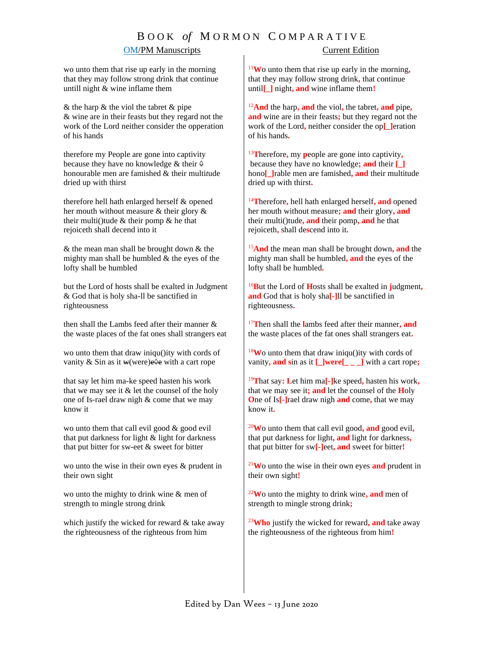# B O O K *of* M O R M O N C O M P A R A T I V E

### **OM/PM Manuscripts** Current Edition

wo unto them that rise up early in the morning that they may follow strong drink that continue untill night & wine inflame them

 $&$  the harp  $&$  the viol the tabret  $&$  pipe & wine are in their feasts but they regard not the work of the Lord neither consider the opperation of his hand*s*

therefore my People are gone into captivity because they have no knowledge & their *◊* honourable men are famished & their multi*t*ude dried up with thirst

therefore hell hath enlarged herself & opened her mouth without measure & their glory & their multi()tude  $&$  their pomp  $&$  he that rejoiceth shall decend into it

& the mean man shall be brought down & the mighty man shall be humbled & the eyes of the lofty shall be humbled

but the Lord of hosts shall be exalted in Judgment & God that is holy sha-ll be sanctified in righteousness

then shall the Lambs feed after their manner & the waste places of the fat ones shall strangers eat

wo unto them that draw iniqu()ity with cords of vanity & Sin as it w(were)e*◊*e with a cart rope

that say let him ma-ke speed hasten his work that we may see it & let the counsel of the holy one of Is-rael draw nigh & come that we may know it

wo unto them that call evil good & good evil that put darkness for light & light for darkness that put bitter for sw-eet & sweet for bitter

wo unto the wise in their own eyes & prudent in their own sight

wo unto the mighty to drink wine & men of strength to mingle strong drink

which justify the wicked for reward & take away the righteousness of the righteous from him

<sup>11</sup>**W**o unto them that rise up early in the morning**,** that they may follow strong drink**,** that continue until**[\_]** night**, and** wine inflame them**!**

<sup>12</sup>**And** the harp**, and** the viol**,** the tabret**, and** pipe**, and** wine are in their feasts**;** but they regard not the work of the Lord**,** neither consider the op**[\_]**eration of his hands**.**

<sup>13</sup>**T**herefore**,** my **p**eople are gone into captivity**,** because they have no knowledge**; and** their **[\_]** hono**[\_]**rable men are famished**, and** their multitude dried up with thirst**.**

<sup>14</sup>**T**herefore**,** hell hath enlarged herself**, and** opened her mouth without measure**; and** their glory**, and** their multi()tude**, and** their pomp**, and** he that rejoiceth**,** shall de**s**cend into it**.**

<sup>15</sup>**And** the mean man shall be brought down**, and** the mighty man shall be humbled**, and** the eyes of the lofty shall be humbled**.**

<sup>16</sup>**B**ut the Lord of **H**osts shall be exalted in **j**udgment**, and** God that is holy sha**[-]**ll be sanctified in righteousness**.**

<sup>17</sup>**T**hen shall the **l**ambs feed after their manner**, and** the waste places of the fat ones shall strangers eat**.**

<sup>18</sup>**W**o unto them that draw iniqu()ity with cords of vanity**, and s**in as it **[\_]were[\_ \_ \_]** with a cart rope**;**

<sup>19</sup>**T**hat say**: L**et him ma**[-]**ke speed**,** hasten his work**,** that we may see it**; and** let the counsel of the **H**oly **O**ne of Is**[-]**rael draw nigh **and** come**,** that we may know it**.**

<sup>20</sup>**W**o unto them that call evil good**, and** good evil**,**  that put darkness for light**, and** light for darkness**,** that put bitter for sw**[-]**eet**, and** sweet for bitter**!**

<sup>21</sup>**W**o unto the wise in their own eyes **and** prudent in their own sight**!**

<sup>22</sup>**W**o unto the mighty to drink wine**, and** men of strength to mingle strong drink**;**

<sup>23</sup>**Who** justify the wicked for reward**, and** take away the righteousness of the righteous from him**!**